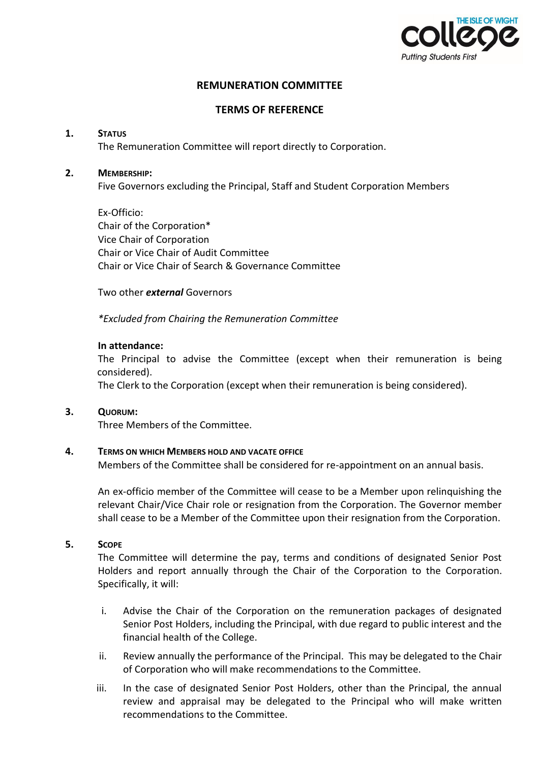

# **REMUNERATION COMMITTEE**

## **TERMS OF REFERENCE**

#### **1. STATUS**

The Remuneration Committee will report directly to Corporation.

### **2. MEMBERSHIP:**

Five Governors excluding the Principal, Staff and Student Corporation Members

Ex-Officio: Chair of the Corporation\* Vice Chair of Corporation Chair or Vice Chair of Audit Committee Chair or Vice Chair of Search & Governance Committee

#### Two other *external* Governors

*\*Excluded from Chairing the Remuneration Committee*

#### **In attendance:**

The Principal to advise the Committee (except when their remuneration is being considered).

The Clerk to the Corporation (except when their remuneration is being considered).

## **3. QUORUM:**

Three Members of the Committee.

#### **4. TERMS ON WHICH MEMBERS HOLD AND VACATE OFFICE**

Members of the Committee shall be considered for re-appointment on an annual basis.

An ex-officio member of the Committee will cease to be a Member upon relinquishing the relevant Chair/Vice Chair role or resignation from the Corporation. The Governor member shall cease to be a Member of the Committee upon their resignation from the Corporation.

#### **5. SCOPE**

The Committee will determine the pay, terms and conditions of designated Senior Post Holders and report annually through the Chair of the Corporation to the Corporation. Specifically, it will:

- i. Advise the Chair of the Corporation on the remuneration packages of designated Senior Post Holders, including the Principal, with due regard to public interest and the financial health of the College.
- ii. Review annually the performance of the Principal. This may be delegated to the Chair of Corporation who will make recommendations to the Committee.
- iii. In the case of designated Senior Post Holders, other than the Principal, the annual review and appraisal may be delegated to the Principal who will make written recommendations to the Committee.